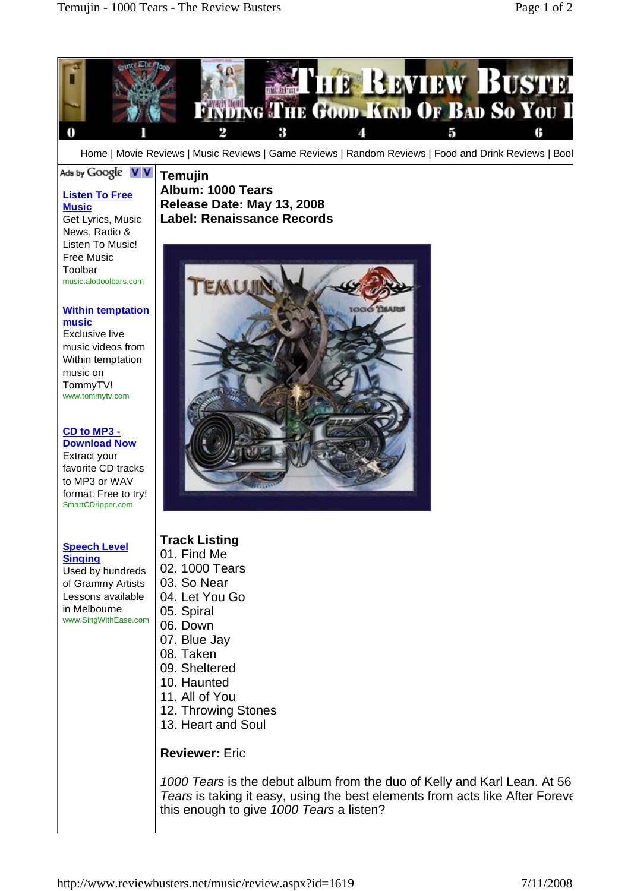

## **Track Listing**

**Speech Level Singing**

Used by hundreds of Grammy Artists Lessons available in Melbourne [www.SingWithEase.com](http://www.SingWithEase.com)

- 01. Find Me
- 02. 1000 Tears
- 03. So Near
- 04. Let You Go
- 05. Spiral
- 06. Down
- 07. Blue Jay
- 08. Taken
- 09. Sheltered
- 10. Haunted
- 11. All of You
- 12. Throwing Stones
- 13. Heart and Soul

## **Reviewer:** Eric

1000 Tears is the debut album from the duo of Kelly and Karl Lean. At 56 Tears is taking it easy, using the best elements from acts like After Forever this enough to give 1000 Tears a listen?